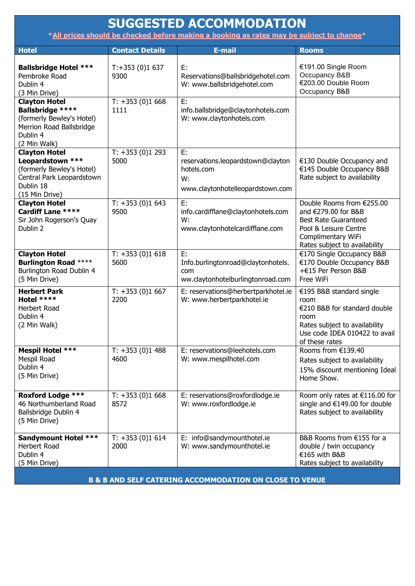| <b>SUGGESTED ACCOMMODATION</b><br>*All prices should be checked before making a booking as rates may be subject to change*           |                          |                                                                                                 |                                                                                                                                                                 |  |  |
|--------------------------------------------------------------------------------------------------------------------------------------|--------------------------|-------------------------------------------------------------------------------------------------|-----------------------------------------------------------------------------------------------------------------------------------------------------------------|--|--|
| <b>Hotel</b>                                                                                                                         | <b>Contact Details</b>   | <b>E-mail</b>                                                                                   | <b>Rooms</b>                                                                                                                                                    |  |  |
| <b>Ballsbridge Hotel ***</b><br>Pembroke Road<br>Dublin 4<br>(3 Min Drive)                                                           | $T: +353(0)1637$<br>9300 | E:<br>Reservations@ballsbridgehotel.com<br>W: www.ballsbridgehotel.com                          | €191.00 Single Room<br>Occupancy B&B<br>€203.00 Double Room<br>Occupancy B&B                                                                                    |  |  |
| <b>Clayton Hotel</b><br><b>Ballsbridge ****</b><br>(formerly Bewley's Hotel)<br>Merrion Road Ballsbridge<br>Dublin 4<br>(2 Min Walk) | $T: +353(0)1668$<br>1111 | E:<br>info.ballsbridge@claytonhotels.com<br>W: www.claytonhotels.com                            |                                                                                                                                                                 |  |  |
| <b>Clayton Hotel</b><br>Leopardstown ***<br>(formerly Bewley's Hotel)<br>Central Park Leopardstown<br>Dublin 18<br>(15 Min Drive)    | $T: +353(0)1293$<br>5000 | E:<br>reservations.leopardstown@clayton<br>hotels.com<br>W:<br>www.claytonhotelleopardstown.com | €130 Double Occupancy and<br>€145 Double Occupancy B&B<br>Rate subject to availability                                                                          |  |  |
| <b>Clayton Hotel</b><br><b>Cardiff Lane ****</b><br>Sir John Rogerson's Quay<br>Dublin 2                                             | $T: +353(0)1643$<br>9500 | E:<br>info.cardifflane@claytonhotels.com<br>W:<br>www.claytonhotelcardifflane.com               | Double Rooms from €255.00<br>and €279.00 for B&B<br><b>Best Rate Guaranteed</b><br>Pool & Leisure Centre<br>Complimentary WiFi<br>Rates subject to availability |  |  |
| <b>Clayton Hotel</b><br><b>Burlington Road ****</b><br>Burlington Road Dublin 4<br>(5 Min Drive)                                     | $T: +353(0)1618$<br>5600 | E:<br>Info.burlingtonroad@claytonhotels.<br>com<br>ww.claytonhotelburlingtonroad.com            | €170 Single Occupancy B&B<br>€170 Double Occupancy B&B<br>+€15 Per Person B&B<br>Free WiFi                                                                      |  |  |
| <b>Herbert Park</b><br>Hotel ****<br><b>Herbert Road</b><br>Dublin 4<br>(2 Min Walk)                                                 | $T: +353(0)1667$<br>2200 | E: reservations@herbertparkhotel.ie<br>W: www.herbertparkhotel.ie                               | €195 B&B standard single<br>room<br>€210 B&B for standard double<br>room<br>Rates subject to availability<br>Use code IDEA 010422 to avail<br>of these rates    |  |  |
| <b>Mespil Hotel ***</b><br>Mespil Road<br>Dublin 4<br>(5 Min Drive)                                                                  | $T: +353(0)1488$<br>4600 | E: reservations@leehotels.com<br>W: www.mespilhotel.com                                         | Rooms from €139.40<br>Rates subject to availability<br>15% discount mentioning Ideal<br>Home Show.                                                              |  |  |
| <b>Roxford Lodge ***</b><br>46 Northumberland Road<br>Ballsbridge Dublin 4<br>(5 Min Drive)                                          | $T: +353(0)1668$<br>8572 | E: reservations@roxfordlodge.ie<br>W: www.roxfordlodge.ie                                       | Room only rates at €116.00 for<br>single and €149.00 for double<br>Rates subject to availability                                                                |  |  |
| <b>Sandymount Hotel ***</b><br>Herbert Road<br>Dublin 4<br>(5 Min Drive)                                                             | $T: +353(0)1614$<br>2000 | E: info@sandymounthotel.ie<br>W: www.sandymounthotel.ie                                         | B&B Rooms from €155 for a<br>double / twin occupancy<br>€165 with B&B<br>Rates subject to availability                                                          |  |  |

**B & B AND SELF CATERING ACCOMMODATION ON CLOSE TO VENUE**